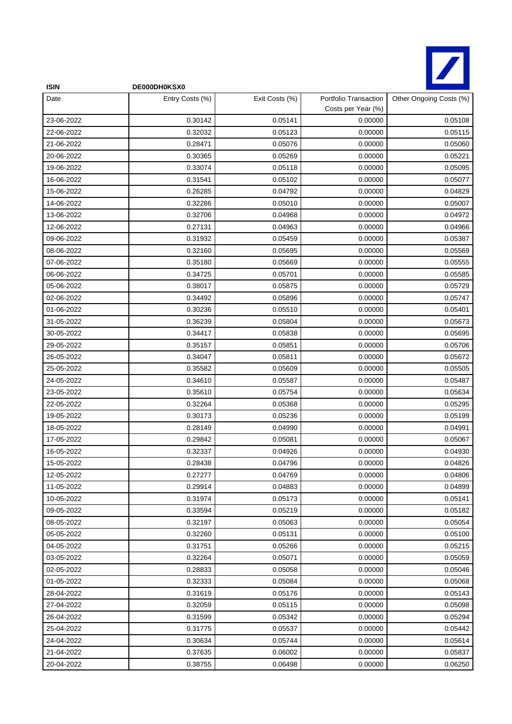

| <b>ISIN</b> | DE000DH0KSX0    |                |                                             |                         |
|-------------|-----------------|----------------|---------------------------------------------|-------------------------|
| Date        | Entry Costs (%) | Exit Costs (%) | Portfolio Transaction<br>Costs per Year (%) | Other Ongoing Costs (%) |
| 23-06-2022  | 0.30142         | 0.05141        | 0.00000                                     | 0.05108                 |
| 22-06-2022  | 0.32032         | 0.05123        | 0.00000                                     | 0.05115                 |
| 21-06-2022  | 0.28471         | 0.05076        | 0.00000                                     | 0.05060                 |
| 20-06-2022  | 0.30365         | 0.05269        | 0.00000                                     | 0.05221                 |
| 19-06-2022  | 0.33074         | 0.05118        | 0.00000                                     | 0.05095                 |
| 16-06-2022  | 0.31541         | 0.05102        | 0.00000                                     | 0.05077                 |
| 15-06-2022  | 0.26285         | 0.04792        | 0.00000                                     | 0.04829                 |
| 14-06-2022  | 0.32286         | 0.05010        | 0.00000                                     | 0.05007                 |
| 13-06-2022  | 0.32706         | 0.04968        | 0.00000                                     | 0.04972                 |
| 12-06-2022  | 0.27131         | 0.04963        | 0.00000                                     | 0.04966                 |
| 09-06-2022  | 0.31932         | 0.05459        | 0.00000                                     | 0.05387                 |
| 08-06-2022  | 0.32160         | 0.05695        | 0.00000                                     | 0.05569                 |
| 07-06-2022  | 0.35180         | 0.05669        | 0.00000                                     | 0.05555                 |
| 06-06-2022  | 0.34725         | 0.05701        | 0.00000                                     | 0.05585                 |
| 05-06-2022  | 0.38017         | 0.05875        | 0.00000                                     | 0.05729                 |
| 02-06-2022  | 0.34492         | 0.05896        | 0.00000                                     | 0.05747                 |
| 01-06-2022  | 0.30236         | 0.05510        | 0.00000                                     | 0.05401                 |
| 31-05-2022  | 0.36239         | 0.05804        | 0.00000                                     | 0.05673                 |
| 30-05-2022  | 0.34417         | 0.05838        | 0.00000                                     | 0.05695                 |
| 29-05-2022  | 0.35157         | 0.05851        | 0.00000                                     | 0.05706                 |
| 26-05-2022  | 0.34047         | 0.05811        | 0.00000                                     | 0.05672                 |
| 25-05-2022  | 0.35582         | 0.05609        | 0.00000                                     | 0.05505                 |
| 24-05-2022  | 0.34610         | 0.05587        | 0.00000                                     | 0.05487                 |
| 23-05-2022  | 0.35610         | 0.05754        | 0.00000                                     | 0.05634                 |
| 22-05-2022  | 0.32264         | 0.05368        | 0.00000                                     | 0.05295                 |
| 19-05-2022  | 0.30173         | 0.05236        | 0.00000                                     | 0.05199                 |
| 18-05-2022  | 0.28149         | 0.04990        | 0.00000                                     | 0.04991                 |
| 17-05-2022  | 0.29842         | 0.05081        | 0.00000                                     | 0.05067                 |
| 16-05-2022  | 0.32337         | 0.04926        | 0.00000                                     | 0.04930                 |
| 15-05-2022  | 0.28438         | 0.04796        | 0.00000                                     | 0.04826                 |
| 12-05-2022  | 0.27277         | 0.04769        | 0.00000                                     | 0.04806                 |
| 11-05-2022  | 0.29914         | 0.04883        | 0.00000                                     | 0.04899                 |
| 10-05-2022  | 0.31974         | 0.05173        | 0.00000                                     | 0.05141                 |
| 09-05-2022  | 0.33594         | 0.05219        | 0.00000                                     | 0.05182                 |
| 08-05-2022  | 0.32197         | 0.05063        | 0.00000                                     | 0.05054                 |
| 05-05-2022  | 0.32260         | 0.05131        | 0.00000                                     | 0.05100                 |
| 04-05-2022  | 0.31751         | 0.05266        | 0.00000                                     | 0.05215                 |
| 03-05-2022  | 0.32264         | 0.05071        | 0.00000                                     | 0.05059                 |
| 02-05-2022  | 0.28833         | 0.05058        | 0.00000                                     | 0.05046                 |
| 01-05-2022  | 0.32333         | 0.05084        | 0.00000                                     | 0.05068                 |
| 28-04-2022  | 0.31619         | 0.05176        | 0.00000                                     | 0.05143                 |
| 27-04-2022  | 0.32059         | 0.05115        | 0.00000                                     | 0.05098                 |
| 26-04-2022  | 0.31599         | 0.05342        | 0.00000                                     | 0.05294                 |
| 25-04-2022  | 0.31775         | 0.05537        | 0.00000                                     | 0.05442                 |
| 24-04-2022  | 0.30634         | 0.05744        | 0.00000                                     | 0.05614                 |
| 21-04-2022  | 0.37635         | 0.06002        | 0.00000                                     | 0.05837                 |
| 20-04-2022  | 0.38755         | 0.06498        | 0.00000                                     | 0.06250                 |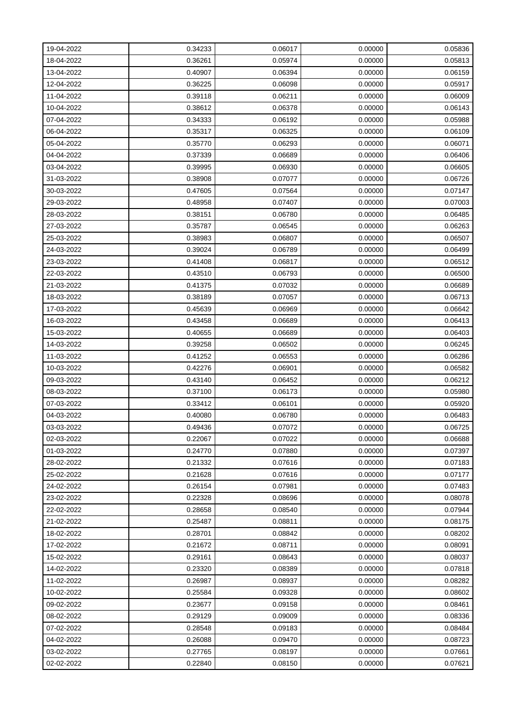| 19-04-2022 | 0.34233 | 0.06017 | 0.00000 | 0.05836 |
|------------|---------|---------|---------|---------|
| 18-04-2022 | 0.36261 | 0.05974 | 0.00000 | 0.05813 |
| 13-04-2022 | 0.40907 | 0.06394 | 0.00000 | 0.06159 |
| 12-04-2022 | 0.36225 | 0.06098 | 0.00000 | 0.05917 |
| 11-04-2022 | 0.39118 | 0.06211 | 0.00000 | 0.06009 |
| 10-04-2022 | 0.38612 | 0.06378 | 0.00000 | 0.06143 |
| 07-04-2022 | 0.34333 | 0.06192 | 0.00000 | 0.05988 |
| 06-04-2022 | 0.35317 | 0.06325 | 0.00000 | 0.06109 |
| 05-04-2022 | 0.35770 | 0.06293 | 0.00000 | 0.06071 |
| 04-04-2022 | 0.37339 | 0.06689 | 0.00000 | 0.06406 |
| 03-04-2022 | 0.39995 | 0.06930 | 0.00000 | 0.06605 |
| 31-03-2022 | 0.38908 | 0.07077 | 0.00000 | 0.06726 |
| 30-03-2022 | 0.47605 | 0.07564 | 0.00000 | 0.07147 |
| 29-03-2022 | 0.48958 | 0.07407 | 0.00000 | 0.07003 |
| 28-03-2022 | 0.38151 | 0.06780 | 0.00000 | 0.06485 |
| 27-03-2022 | 0.35787 | 0.06545 | 0.00000 | 0.06263 |
| 25-03-2022 | 0.38983 | 0.06807 | 0.00000 | 0.06507 |
| 24-03-2022 | 0.39024 | 0.06789 | 0.00000 | 0.06499 |
| 23-03-2022 | 0.41408 | 0.06817 | 0.00000 | 0.06512 |
| 22-03-2022 | 0.43510 | 0.06793 | 0.00000 | 0.06500 |
| 21-03-2022 | 0.41375 | 0.07032 | 0.00000 | 0.06689 |
| 18-03-2022 | 0.38189 | 0.07057 | 0.00000 | 0.06713 |
| 17-03-2022 | 0.45639 | 0.06969 | 0.00000 | 0.06642 |
| 16-03-2022 | 0.43458 | 0.06689 | 0.00000 | 0.06413 |
| 15-03-2022 | 0.40655 | 0.06689 | 0.00000 | 0.06403 |
| 14-03-2022 | 0.39258 | 0.06502 | 0.00000 | 0.06245 |
| 11-03-2022 | 0.41252 | 0.06553 | 0.00000 | 0.06286 |
| 10-03-2022 | 0.42276 | 0.06901 | 0.00000 | 0.06582 |
| 09-03-2022 | 0.43140 | 0.06452 | 0.00000 | 0.06212 |
| 08-03-2022 | 0.37100 | 0.06173 | 0.00000 | 0.05980 |
| 07-03-2022 | 0.33412 | 0.06101 | 0.00000 | 0.05920 |
| 04-03-2022 | 0.40080 | 0.06780 | 0.00000 | 0.06483 |
| 03-03-2022 | 0.49436 | 0.07072 | 0.00000 | 0.06725 |
| 02-03-2022 | 0.22067 | 0.07022 | 0.00000 | 0.06688 |
| 01-03-2022 | 0.24770 | 0.07880 | 0.00000 | 0.07397 |
| 28-02-2022 | 0.21332 | 0.07616 | 0.00000 | 0.07183 |
| 25-02-2022 | 0.21628 | 0.07616 | 0.00000 | 0.07177 |
| 24-02-2022 | 0.26154 | 0.07981 | 0.00000 | 0.07483 |
| 23-02-2022 | 0.22328 | 0.08696 | 0.00000 | 0.08078 |
| 22-02-2022 | 0.28658 | 0.08540 | 0.00000 | 0.07944 |
| 21-02-2022 | 0.25487 | 0.08811 | 0.00000 | 0.08175 |
| 18-02-2022 | 0.28701 | 0.08842 | 0.00000 | 0.08202 |
| 17-02-2022 | 0.21672 | 0.08711 | 0.00000 | 0.08091 |
| 15-02-2022 | 0.29161 | 0.08643 | 0.00000 | 0.08037 |
| 14-02-2022 | 0.23320 | 0.08389 | 0.00000 | 0.07818 |
| 11-02-2022 | 0.26987 | 0.08937 | 0.00000 | 0.08282 |
| 10-02-2022 | 0.25584 | 0.09328 | 0.00000 | 0.08602 |
| 09-02-2022 | 0.23677 | 0.09158 | 0.00000 | 0.08461 |
| 08-02-2022 | 0.29129 | 0.09009 | 0.00000 | 0.08336 |
| 07-02-2022 | 0.28548 | 0.09183 | 0.00000 | 0.08484 |
| 04-02-2022 | 0.26088 | 0.09470 | 0.00000 | 0.08723 |
| 03-02-2022 | 0.27765 | 0.08197 | 0.00000 | 0.07661 |
| 02-02-2022 | 0.22840 | 0.08150 | 0.00000 | 0.07621 |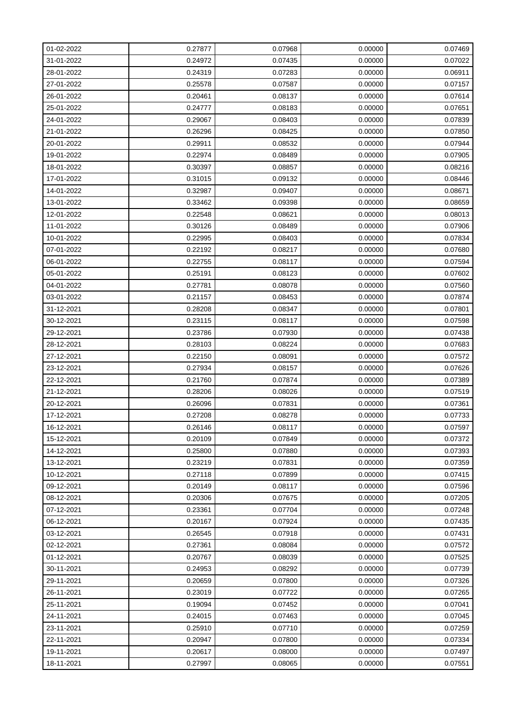| 01-02-2022 | 0.27877 | 0.07968 | 0.00000 | 0.07469 |
|------------|---------|---------|---------|---------|
| 31-01-2022 | 0.24972 | 0.07435 | 0.00000 | 0.07022 |
| 28-01-2022 | 0.24319 | 0.07283 | 0.00000 | 0.06911 |
| 27-01-2022 | 0.25578 | 0.07587 | 0.00000 | 0.07157 |
| 26-01-2022 | 0.20461 | 0.08137 | 0.00000 | 0.07614 |
| 25-01-2022 | 0.24777 | 0.08183 | 0.00000 | 0.07651 |
| 24-01-2022 | 0.29067 | 0.08403 | 0.00000 | 0.07839 |
| 21-01-2022 | 0.26296 | 0.08425 | 0.00000 | 0.07850 |
| 20-01-2022 | 0.29911 | 0.08532 | 0.00000 | 0.07944 |
| 19-01-2022 | 0.22974 | 0.08489 | 0.00000 | 0.07905 |
| 18-01-2022 | 0.30397 | 0.08857 | 0.00000 | 0.08216 |
| 17-01-2022 | 0.31015 | 0.09132 | 0.00000 | 0.08446 |
| 14-01-2022 | 0.32987 | 0.09407 | 0.00000 | 0.08671 |
| 13-01-2022 | 0.33462 | 0.09398 | 0.00000 | 0.08659 |
| 12-01-2022 | 0.22548 | 0.08621 | 0.00000 | 0.08013 |
| 11-01-2022 | 0.30126 | 0.08489 | 0.00000 | 0.07906 |
| 10-01-2022 | 0.22995 | 0.08403 | 0.00000 | 0.07834 |
| 07-01-2022 | 0.22192 | 0.08217 | 0.00000 | 0.07680 |
| 06-01-2022 | 0.22755 | 0.08117 | 0.00000 | 0.07594 |
| 05-01-2022 | 0.25191 | 0.08123 | 0.00000 | 0.07602 |
| 04-01-2022 | 0.27781 | 0.08078 | 0.00000 | 0.07560 |
| 03-01-2022 | 0.21157 | 0.08453 | 0.00000 | 0.07874 |
| 31-12-2021 | 0.28208 | 0.08347 | 0.00000 | 0.07801 |
| 30-12-2021 | 0.23115 | 0.08117 | 0.00000 | 0.07598 |
| 29-12-2021 | 0.23786 | 0.07930 | 0.00000 | 0.07438 |
| 28-12-2021 | 0.28103 | 0.08224 | 0.00000 | 0.07683 |
| 27-12-2021 | 0.22150 | 0.08091 | 0.00000 | 0.07572 |
| 23-12-2021 | 0.27934 | 0.08157 | 0.00000 | 0.07626 |
| 22-12-2021 | 0.21760 | 0.07874 | 0.00000 | 0.07389 |
| 21-12-2021 | 0.28206 | 0.08026 | 0.00000 | 0.07519 |
| 20-12-2021 | 0.26096 | 0.07831 | 0.00000 | 0.07361 |
| 17-12-2021 | 0.27208 | 0.08278 | 0.00000 | 0.07733 |
| 16-12-2021 | 0.26146 | 0.08117 | 0.00000 | 0.07597 |
| 15-12-2021 | 0.20109 | 0.07849 | 0.00000 | 0.07372 |
| 14-12-2021 | 0.25800 | 0.07880 | 0.00000 | 0.07393 |
| 13-12-2021 | 0.23219 | 0.07831 | 0.00000 | 0.07359 |
| 10-12-2021 | 0.27118 | 0.07899 | 0.00000 | 0.07415 |
| 09-12-2021 | 0.20149 | 0.08117 | 0.00000 | 0.07596 |
| 08-12-2021 | 0.20306 | 0.07675 | 0.00000 | 0.07205 |
| 07-12-2021 | 0.23361 | 0.07704 | 0.00000 | 0.07248 |
| 06-12-2021 | 0.20167 | 0.07924 | 0.00000 | 0.07435 |
| 03-12-2021 | 0.26545 | 0.07918 | 0.00000 | 0.07431 |
| 02-12-2021 | 0.27361 | 0.08084 | 0.00000 | 0.07572 |
| 01-12-2021 | 0.20767 | 0.08039 | 0.00000 | 0.07525 |
| 30-11-2021 | 0.24953 | 0.08292 | 0.00000 | 0.07739 |
| 29-11-2021 | 0.20659 | 0.07800 | 0.00000 | 0.07326 |
| 26-11-2021 | 0.23019 | 0.07722 | 0.00000 | 0.07265 |
| 25-11-2021 | 0.19094 | 0.07452 | 0.00000 | 0.07041 |
| 24-11-2021 | 0.24015 | 0.07463 | 0.00000 | 0.07045 |
| 23-11-2021 | 0.25910 | 0.07710 | 0.00000 | 0.07259 |
| 22-11-2021 | 0.20947 | 0.07800 | 0.00000 | 0.07334 |
| 19-11-2021 | 0.20617 | 0.08000 | 0.00000 | 0.07497 |
| 18-11-2021 | 0.27997 | 0.08065 | 0.00000 | 0.07551 |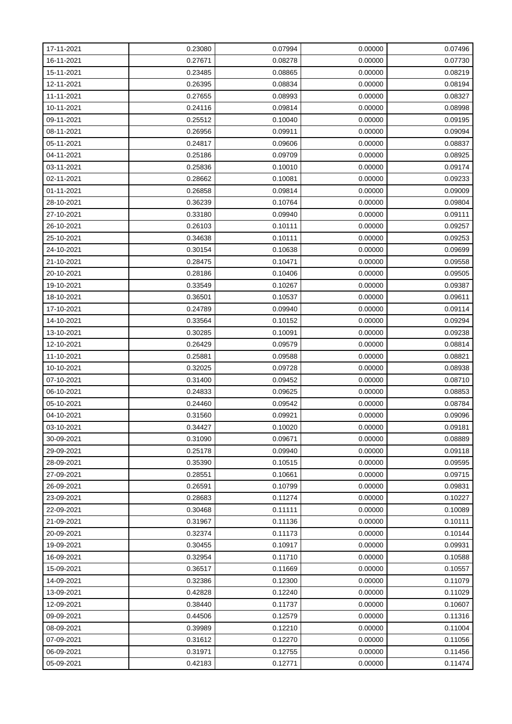| 17-11-2021 | 0.23080 | 0.07994 | 0.00000 | 0.07496 |
|------------|---------|---------|---------|---------|
| 16-11-2021 | 0.27671 | 0.08278 | 0.00000 | 0.07730 |
| 15-11-2021 | 0.23485 | 0.08865 | 0.00000 | 0.08219 |
| 12-11-2021 | 0.26395 | 0.08834 | 0.00000 | 0.08194 |
| 11-11-2021 | 0.27655 | 0.08993 | 0.00000 | 0.08327 |
| 10-11-2021 | 0.24116 | 0.09814 | 0.00000 | 0.08998 |
| 09-11-2021 | 0.25512 | 0.10040 | 0.00000 | 0.09195 |
| 08-11-2021 | 0.26956 | 0.09911 | 0.00000 | 0.09094 |
| 05-11-2021 | 0.24817 | 0.09606 | 0.00000 | 0.08837 |
| 04-11-2021 | 0.25186 | 0.09709 | 0.00000 | 0.08925 |
| 03-11-2021 | 0.25836 | 0.10010 | 0.00000 | 0.09174 |
| 02-11-2021 | 0.28662 | 0.10081 | 0.00000 | 0.09233 |
| 01-11-2021 | 0.26858 | 0.09814 | 0.00000 | 0.09009 |
| 28-10-2021 | 0.36239 | 0.10764 | 0.00000 | 0.09804 |
| 27-10-2021 | 0.33180 | 0.09940 | 0.00000 | 0.09111 |
| 26-10-2021 | 0.26103 | 0.10111 | 0.00000 | 0.09257 |
| 25-10-2021 | 0.34638 | 0.10111 | 0.00000 | 0.09253 |
| 24-10-2021 | 0.30154 | 0.10638 | 0.00000 | 0.09699 |
| 21-10-2021 | 0.28475 | 0.10471 | 0.00000 | 0.09558 |
| 20-10-2021 | 0.28186 | 0.10406 | 0.00000 | 0.09505 |
| 19-10-2021 | 0.33549 | 0.10267 | 0.00000 | 0.09387 |
| 18-10-2021 | 0.36501 | 0.10537 | 0.00000 | 0.09611 |
| 17-10-2021 | 0.24789 | 0.09940 | 0.00000 | 0.09114 |
| 14-10-2021 | 0.33564 | 0.10152 | 0.00000 | 0.09294 |
| 13-10-2021 | 0.30285 | 0.10091 | 0.00000 | 0.09238 |
| 12-10-2021 | 0.26429 | 0.09579 | 0.00000 | 0.08814 |
| 11-10-2021 | 0.25881 | 0.09588 | 0.00000 | 0.08821 |
| 10-10-2021 | 0.32025 | 0.09728 | 0.00000 | 0.08938 |
| 07-10-2021 | 0.31400 | 0.09452 | 0.00000 | 0.08710 |
| 06-10-2021 | 0.24833 | 0.09625 | 0.00000 | 0.08853 |
| 05-10-2021 | 0.24460 | 0.09542 | 0.00000 | 0.08784 |
| 04-10-2021 | 0.31560 | 0.09921 | 0.00000 | 0.09096 |
| 03-10-2021 | 0.34427 | 0.10020 | 0.00000 | 0.09181 |
| 30-09-2021 | 0.31090 | 0.09671 | 0.00000 | 0.08889 |
| 29-09-2021 | 0.25178 | 0.09940 | 0.00000 | 0.09118 |
| 28-09-2021 | 0.35390 | 0.10515 | 0.00000 | 0.09595 |
| 27-09-2021 | 0.28551 | 0.10661 | 0.00000 | 0.09715 |
| 26-09-2021 | 0.26591 | 0.10799 | 0.00000 | 0.09831 |
| 23-09-2021 | 0.28683 | 0.11274 | 0.00000 | 0.10227 |
| 22-09-2021 | 0.30468 | 0.11111 | 0.00000 | 0.10089 |
| 21-09-2021 | 0.31967 | 0.11136 | 0.00000 | 0.10111 |
| 20-09-2021 | 0.32374 | 0.11173 | 0.00000 | 0.10144 |
| 19-09-2021 | 0.30455 | 0.10917 | 0.00000 | 0.09931 |
| 16-09-2021 | 0.32954 | 0.11710 | 0.00000 | 0.10588 |
| 15-09-2021 | 0.36517 | 0.11669 | 0.00000 | 0.10557 |
| 14-09-2021 | 0.32386 | 0.12300 | 0.00000 | 0.11079 |
| 13-09-2021 | 0.42828 | 0.12240 | 0.00000 | 0.11029 |
| 12-09-2021 | 0.38440 | 0.11737 | 0.00000 | 0.10607 |
| 09-09-2021 | 0.44506 | 0.12579 | 0.00000 | 0.11316 |
| 08-09-2021 | 0.39989 | 0.12210 | 0.00000 | 0.11004 |
| 07-09-2021 | 0.31612 | 0.12270 | 0.00000 | 0.11056 |
| 06-09-2021 | 0.31971 | 0.12755 | 0.00000 | 0.11456 |
| 05-09-2021 | 0.42183 | 0.12771 | 0.00000 | 0.11474 |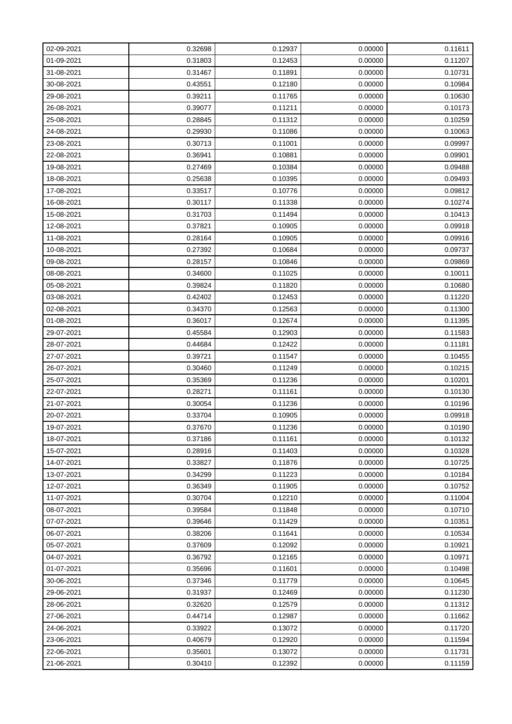| 02-09-2021 | 0.32698 | 0.12937 | 0.00000 | 0.11611 |
|------------|---------|---------|---------|---------|
| 01-09-2021 | 0.31803 | 0.12453 | 0.00000 | 0.11207 |
| 31-08-2021 | 0.31467 | 0.11891 | 0.00000 | 0.10731 |
| 30-08-2021 | 0.43551 | 0.12180 | 0.00000 | 0.10984 |
| 29-08-2021 | 0.39211 | 0.11765 | 0.00000 | 0.10630 |
| 26-08-2021 | 0.39077 | 0.11211 | 0.00000 | 0.10173 |
| 25-08-2021 | 0.28845 | 0.11312 | 0.00000 | 0.10259 |
| 24-08-2021 | 0.29930 | 0.11086 | 0.00000 | 0.10063 |
| 23-08-2021 | 0.30713 | 0.11001 | 0.00000 | 0.09997 |
| 22-08-2021 | 0.36941 | 0.10881 | 0.00000 | 0.09901 |
| 19-08-2021 | 0.27469 | 0.10384 | 0.00000 | 0.09488 |
| 18-08-2021 | 0.25638 | 0.10395 | 0.00000 | 0.09493 |
| 17-08-2021 | 0.33517 | 0.10776 | 0.00000 | 0.09812 |
| 16-08-2021 | 0.30117 | 0.11338 | 0.00000 | 0.10274 |
| 15-08-2021 | 0.31703 | 0.11494 | 0.00000 | 0.10413 |
| 12-08-2021 | 0.37821 | 0.10905 | 0.00000 | 0.09918 |
| 11-08-2021 | 0.28164 | 0.10905 | 0.00000 | 0.09916 |
| 10-08-2021 | 0.27392 | 0.10684 | 0.00000 | 0.09737 |
| 09-08-2021 | 0.28157 | 0.10846 | 0.00000 | 0.09869 |
| 08-08-2021 | 0.34600 | 0.11025 | 0.00000 | 0.10011 |
| 05-08-2021 | 0.39824 | 0.11820 | 0.00000 | 0.10680 |
| 03-08-2021 | 0.42402 | 0.12453 | 0.00000 | 0.11220 |
| 02-08-2021 | 0.34370 | 0.12563 | 0.00000 | 0.11300 |
| 01-08-2021 | 0.36017 | 0.12674 | 0.00000 | 0.11395 |
| 29-07-2021 | 0.45584 | 0.12903 | 0.00000 | 0.11583 |
| 28-07-2021 | 0.44684 | 0.12422 | 0.00000 | 0.11181 |
| 27-07-2021 | 0.39721 | 0.11547 | 0.00000 | 0.10455 |
| 26-07-2021 | 0.30460 | 0.11249 | 0.00000 | 0.10215 |
| 25-07-2021 | 0.35369 | 0.11236 | 0.00000 | 0.10201 |
| 22-07-2021 | 0.28271 | 0.11161 | 0.00000 | 0.10130 |
| 21-07-2021 | 0.30054 | 0.11236 | 0.00000 | 0.10196 |
| 20-07-2021 | 0.33704 | 0.10905 | 0.00000 | 0.09918 |
| 19-07-2021 | 0.37670 | 0.11236 | 0.00000 | 0.10190 |
| 18-07-2021 | 0.37186 | 0.11161 | 0.00000 | 0.10132 |
| 15-07-2021 | 0.28916 | 0.11403 | 0.00000 | 0.10328 |
| 14-07-2021 | 0.33827 | 0.11876 | 0.00000 | 0.10725 |
| 13-07-2021 | 0.34299 | 0.11223 | 0.00000 | 0.10184 |
| 12-07-2021 | 0.36349 | 0.11905 | 0.00000 | 0.10752 |
| 11-07-2021 | 0.30704 | 0.12210 | 0.00000 | 0.11004 |
| 08-07-2021 | 0.39584 | 0.11848 | 0.00000 | 0.10710 |
| 07-07-2021 | 0.39646 | 0.11429 | 0.00000 | 0.10351 |
| 06-07-2021 | 0.38206 | 0.11641 | 0.00000 | 0.10534 |
| 05-07-2021 | 0.37609 | 0.12092 | 0.00000 | 0.10921 |
| 04-07-2021 | 0.36792 | 0.12165 | 0.00000 | 0.10971 |
| 01-07-2021 | 0.35696 | 0.11601 | 0.00000 | 0.10498 |
| 30-06-2021 | 0.37346 | 0.11779 | 0.00000 | 0.10645 |
| 29-06-2021 | 0.31937 | 0.12469 | 0.00000 | 0.11230 |
| 28-06-2021 | 0.32620 | 0.12579 | 0.00000 | 0.11312 |
| 27-06-2021 | 0.44714 | 0.12987 | 0.00000 | 0.11662 |
| 24-06-2021 | 0.33922 | 0.13072 | 0.00000 | 0.11720 |
| 23-06-2021 | 0.40679 | 0.12920 | 0.00000 | 0.11594 |
| 22-06-2021 | 0.35601 | 0.13072 | 0.00000 | 0.11731 |
| 21-06-2021 | 0.30410 | 0.12392 | 0.00000 | 0.11159 |